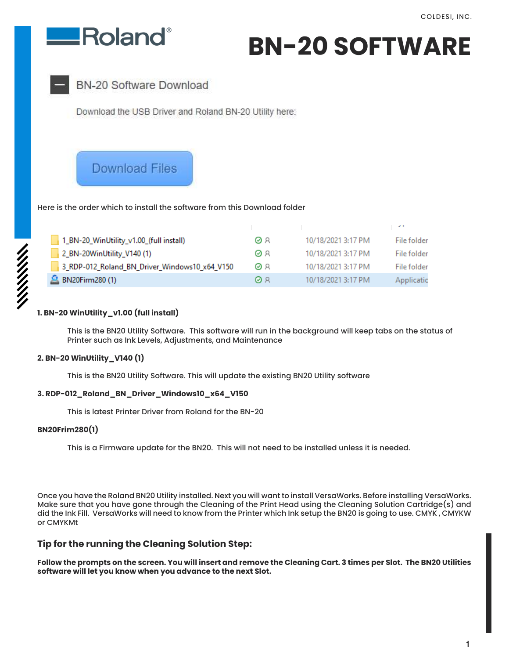

**BN-20 SOFTWARE**



**BN-20 Software Download** 

Download the USB Driver and Roland BN-20 Utility here:

# **Download Files**

Here is the order which to install the software from this Download folder

| 1_BN-20_WinUtility_v1.00_(full install)       | ΘR | 10/18/2021 3:17 PM | File folder |
|-----------------------------------------------|----|--------------------|-------------|
| 2_BN-20WinUtility_V140 (1)                    | ΘR | 10/18/2021 3:17 PM | File folder |
| 3_RDP-012_Roland_BN_Driver_Windows10_x64_V150 | ΘR | 10/18/2021 3:17 PM | File folder |
| <b>2</b> BN20Firm280 (1)                      | ØЯ | 10/18/2021 3:17 PM | Applicatic  |

# **1. BN-20 WinUtility\_v1.00 (full install)**

 This is the BN20 Utility Software. This software will run in the background will keep tabs on the status of Printer such as Ink Levels, Adjustments, and Maintenance

# **2. BN-20 WinUtility\_V140 (1)**

This is the BN20 Utility Software. This will update the existing BN20 Utility software

## **3. RDP-012\_Roland\_BN\_Driver\_Windows10\_x64\_V150**

This is latest Printer Driver from Roland for the BN-20

## **BN20Frim280(1)**

This is a Firmware update for the BN20. This will not need to be installed unless it is needed.

Once you have the Roland BN20 Utility installed. Next you will want to install VersaWorks. Before installing VersaWorks. Make sure that you have gone through the Cleaning of the Print Head using the Cleaning Solution Cartridge(s) and did the Ink Fill. VersaWorks will need to know from the Printer which Ink setup the BN20 is going to use. CMYK , CMYKW or CMYKMt

# **Tip for the running the Cleaning Solution Step:**

**Follow the prompts on the screen. You will insert and remove the Cleaning Cart. 3 times per Slot. The BN20 Utilities software will let you know when you advance to the next Slot.**

1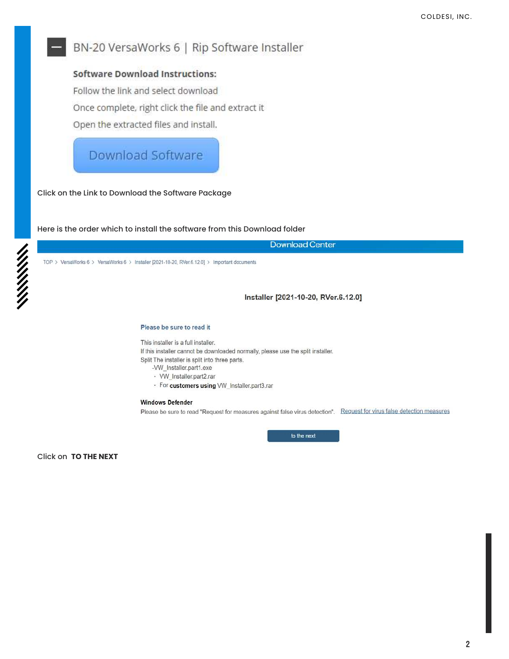# BN-20 VersaWorks 6 | Rip Software Installer

# **Software Download Instructions:**

Follow the link and select download

Once complete, right click the file and extract it

Open the extracted files and install.

# **Download Software**

Click on the Link to Download the Software Package

Here is the order which to install the software from this Download folder

**Download Center** 

TOP > VersaWorks 6 > VersaWorks 6 > Installer [2021-10-20, RVer.6.12.0] > Important documents

Installer [2021-10-20, RVer.6.12.0]

### Please be sure to read it

This installer is a full installer.

If this installer cannot be downloaded normally, please use the split installer. Split The installer is split into three parts.

- -VW\_Installer.part1.exe
- · VW\_Installer.part2.rar
- · For customers using VW\_Installer.part3.rar

### **Windows Defender**

Please be sure to read "Request for measures against false virus detection". Request for virus false detection measures

to the next

**Click on TO THE NEXT**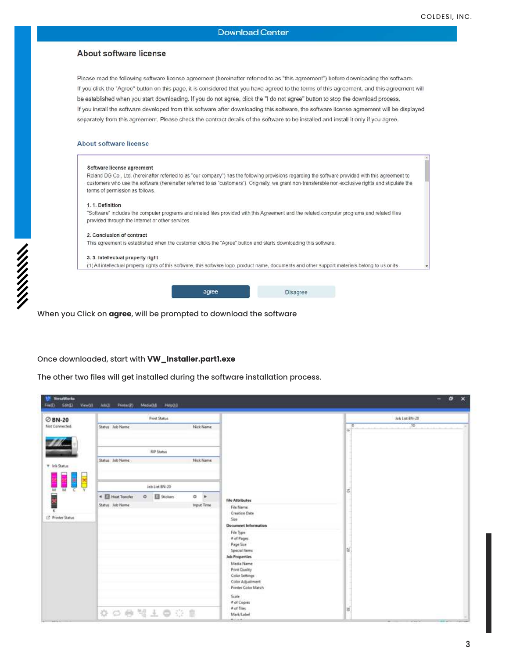## About software license

Please read the following software license agreement (hereinafter referred to as "this agreement") before downloading the software. If you click the "Agree" button on this page, it is considered that you have agreed to the terms of this agreement, and this agreement will be established when you start downloading. If you do not agree, click the "I do not agree" button to stop the download process. If you install the software developed from this software after downloading this software, the software license agreement will be displayed separately from this agreement. Please check the contract details of the software to be installed and install it only if you agree.

### About software license

| Software license agreement                       |       |                                                                                                                                                       |  |
|--------------------------------------------------|-------|-------------------------------------------------------------------------------------------------------------------------------------------------------|--|
|                                                  |       | Roland DG Co., Ltd. (hereinafter referred to as "our company") has the following provisions regarding the software provided with this agreement to    |  |
|                                                  |       | customers who use the software (hereinafter referred to as "customers"). Originally, we grant non-transferable non-exclusive rights and stipulate the |  |
| terms of permission as follows.                  |       |                                                                                                                                                       |  |
| 1. 1. Definition                                 |       |                                                                                                                                                       |  |
|                                                  |       | "Software" includes the computer programs and related files provided with this Agreement and the related computer programs and related files          |  |
| provided through the Internet or other services. |       |                                                                                                                                                       |  |
| 2. Conclusion of contract                        |       |                                                                                                                                                       |  |
|                                                  |       | This agreement is established when the customer clicks the "Agree" button and starts downloading this software.                                       |  |
| 3. 3. Intellectual property right                |       |                                                                                                                                                       |  |
|                                                  |       | (1) All intellectual property rights of this software, this software logo, product name, documents and other support materials belong to us or its    |  |
|                                                  |       |                                                                                                                                                       |  |
|                                                  |       |                                                                                                                                                       |  |
|                                                  | agree | <b>Disagree</b>                                                                                                                                       |  |

When you Click on **agree**, will be prompted to download the software

## Once downloaded, start with **VW\_Installer.part1.exe**

The other two files will get installed during the software installation process.

| <b>⊘BN-20</b>                  | Print Status                                                        |                       |                                                     | Job List 874-20                                        |
|--------------------------------|---------------------------------------------------------------------|-----------------------|-----------------------------------------------------|--------------------------------------------------------|
| <b>Not Connected.</b>          | Status Job Name                                                     | Nick Name             |                                                     | 30 <sub>1</sub><br>$\overline{0}$<br><b>COLLECTION</b> |
|                                | <b>RP Status</b>                                                    |                       |                                                     |                                                        |
| <b>T</b> Ink Status            | Statut Job Name                                                     | Nick Name             |                                                     |                                                        |
|                                | Job List BN-20                                                      |                       |                                                     |                                                        |
| M<br><b>M</b><br>$\frac{1}{2}$ | 4 2 Heat Transfer<br><b>B</b> Sockers<br>$\circ$<br>Status Job Name | $0$ $*$<br>Input Time | <b>File Attributes</b>                              | 昌                                                      |
| τ<br>12 Printer Status         |                                                                     |                       | File Name<br><b>Creation Date</b><br>Size           |                                                        |
|                                |                                                                     |                       | <b>Document Information</b><br>File Type:           |                                                        |
|                                |                                                                     |                       | # of Pages<br>Page Star<br>Special Herrs            | 扈                                                      |
|                                |                                                                     |                       | Job Properties<br>Media Name                        |                                                        |
|                                |                                                                     |                       | Print Quality<br>Color Settings<br>Color Adjustment |                                                        |
|                                |                                                                     |                       | Printer Color Match<br>Scale                        |                                                        |
|                                | ☆○● #上●※■                                                           |                       | # of Copies<br># of Tiles<br>Mark/Label             | 器                                                      |